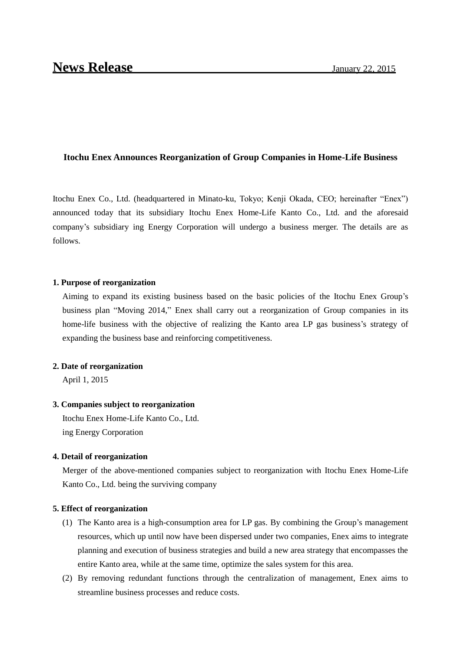## **Itochu Enex Announces Reorganization of Group Companies in Home-Life Business**

Itochu Enex Co., Ltd. (headquartered in Minato-ku, Tokyo; Kenji Okada, CEO; hereinafter "Enex") announced today that its subsidiary Itochu Enex Home-Life Kanto Co., Ltd. and the aforesaid company's subsidiary ing Energy Corporation will undergo a business merger. The details are as follows.

#### **1. Purpose of reorganization**

Aiming to expand its existing business based on the basic policies of the Itochu Enex Group's business plan "Moving 2014," Enex shall carry out a reorganization of Group companies in its home-life business with the objective of realizing the Kanto area LP gas business's strategy of expanding the business base and reinforcing competitiveness.

#### **2. Date of reorganization**

April 1, 2015

#### **3. Companies subject to reorganization**

Itochu Enex Home-Life Kanto Co., Ltd. ing Energy Corporation

## **4. Detail of reorganization**

Merger of the above-mentioned companies subject to reorganization with Itochu Enex Home-Life Kanto Co., Ltd. being the surviving company

#### **5. Effect of reorganization**

- (1) The Kanto area is a high-consumption area for LP gas. By combining the Group's management resources, which up until now have been dispersed under two companies, Enex aims to integrate planning and execution of business strategies and build a new area strategy that encompasses the entire Kanto area, while at the same time, optimize the sales system for this area.
- (2) By removing redundant functions through the centralization of management, Enex aims to streamline business processes and reduce costs.